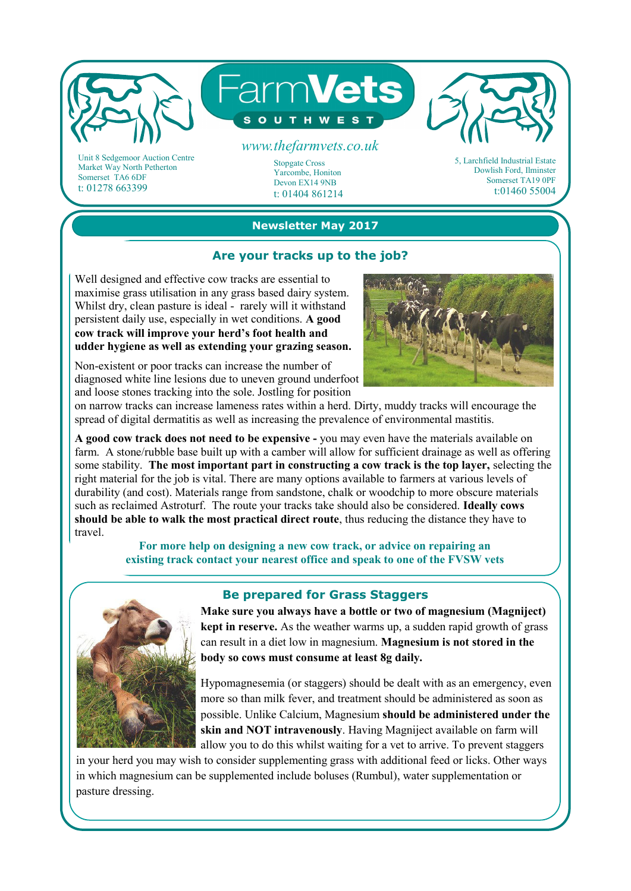

Market Way North Petherton Somerset TA6 6DF t: 01278 663399

### **Newsletter May 2017**

Yarcombe, Honiton Devon EX14 9NB t: 01404 861214

### **Are your tracks up to the job?**

Well designed and effective cow tracks are essential to maximise grass utilisation in any grass based dairy system. Whilst dry, clean pasture is ideal - rarely will it withstand persistent daily use, especially in wet conditions. **A good cow track will improve your herd's foot health and udder hygiene as well as extending your grazing season.**

Non-existent or poor tracks can increase the number of diagnosed white line lesions due to uneven ground underfoot and loose stones tracking into the sole. Jostling for position



Somerset TA19 0PF t:01460 55004

on narrow tracks can increase lameness rates within a herd. Dirty, muddy tracks will encourage the spread of digital dermatitis as well as increasing the prevalence of environmental mastitis.

**A good cow track does not need to be expensive -** you may even have the materials available on farm. A stone/rubble base built up with a camber will allow for sufficient drainage as well as offering some stability. **The most important part in constructing a cow track is the top layer,** selecting the right material for the job is vital. There are many options available to farmers at various levels of durability (and cost). Materials range from sandstone, chalk or woodchip to more obscure materials such as reclaimed Astroturf. The route your tracks take should also be considered. **Ideally cows should be able to walk the most practical direct route**, thus reducing the distance they have to travel.

#### **For more help on designing a new cow track, or advice on repairing an existing track contact your nearest office and speak to one of the FVSW vets**



#### **Be prepared for Grass Staggers**

**Make sure you always have a bottle or two of magnesium (Magniject) kept in reserve.** As the weather warms up, a sudden rapid growth of grass can result in a diet low in magnesium. **Magnesium is not stored in the body so cows must consume at least 8g daily.** 

Hypomagnesemia (or staggers) should be dealt with as an emergency, even more so than milk fever, and treatment should be administered as soon as possible. Unlike Calcium, Magnesium **should be administered under the skin and NOT intravenously**. Having Magniject available on farm will allow you to do this whilst waiting for a vet to arrive. To prevent staggers

in your herd you may wish to consider supplementing grass with additional feed or licks. Other ways in which magnesium can be supplemented include boluses (Rumbul), water supplementation or pasture dressing.